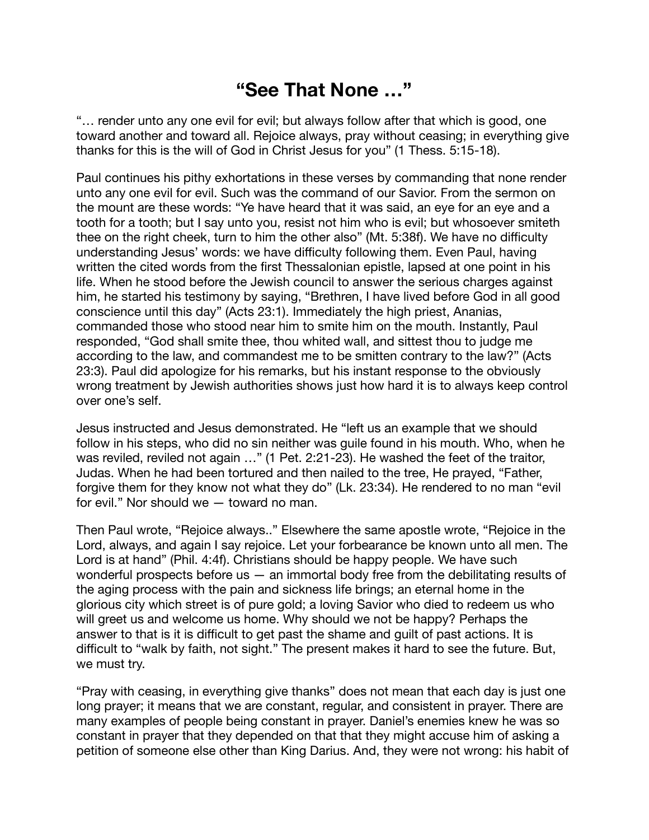## **"See That None …"**

"… render unto any one evil for evil; but always follow after that which is good, one toward another and toward all. Rejoice always, pray without ceasing; in everything give thanks for this is the will of God in Christ Jesus for you" (1 Thess. 5:15-18).

Paul continues his pithy exhortations in these verses by commanding that none render unto any one evil for evil. Such was the command of our Savior. From the sermon on the mount are these words: "Ye have heard that it was said, an eye for an eye and a tooth for a tooth; but I say unto you, resist not him who is evil; but whosoever smiteth thee on the right cheek, turn to him the other also" (Mt. 5:38f). We have no difficulty understanding Jesus' words: we have difficulty following them. Even Paul, having written the cited words from the first Thessalonian epistle, lapsed at one point in his life. When he stood before the Jewish council to answer the serious charges against him, he started his testimony by saying, "Brethren, I have lived before God in all good conscience until this day" (Acts 23:1). Immediately the high priest, Ananias, commanded those who stood near him to smite him on the mouth. Instantly, Paul responded, "God shall smite thee, thou whited wall, and sittest thou to judge me according to the law, and commandest me to be smitten contrary to the law?" (Acts 23:3). Paul did apologize for his remarks, but his instant response to the obviously wrong treatment by Jewish authorities shows just how hard it is to always keep control over one's self.

Jesus instructed and Jesus demonstrated. He "left us an example that we should follow in his steps, who did no sin neither was guile found in his mouth. Who, when he was reviled, reviled not again …" (1 Pet. 2:21-23). He washed the feet of the traitor, Judas. When he had been tortured and then nailed to the tree, He prayed, "Father, forgive them for they know not what they do" (Lk. 23:34). He rendered to no man "evil for evil." Nor should we — toward no man.

Then Paul wrote, "Rejoice always.." Elsewhere the same apostle wrote, "Rejoice in the Lord, always, and again I say rejoice. Let your forbearance be known unto all men. The Lord is at hand" (Phil. 4:4f). Christians should be happy people. We have such wonderful prospects before us  $-$  an immortal body free from the debilitating results of the aging process with the pain and sickness life brings; an eternal home in the glorious city which street is of pure gold; a loving Savior who died to redeem us who will greet us and welcome us home. Why should we not be happy? Perhaps the answer to that is it is difficult to get past the shame and guilt of past actions. It is difficult to "walk by faith, not sight." The present makes it hard to see the future. But, we must try.

"Pray with ceasing, in everything give thanks" does not mean that each day is just one long prayer; it means that we are constant, regular, and consistent in prayer. There are many examples of people being constant in prayer. Daniel's enemies knew he was so constant in prayer that they depended on that that they might accuse him of asking a petition of someone else other than King Darius. And, they were not wrong: his habit of